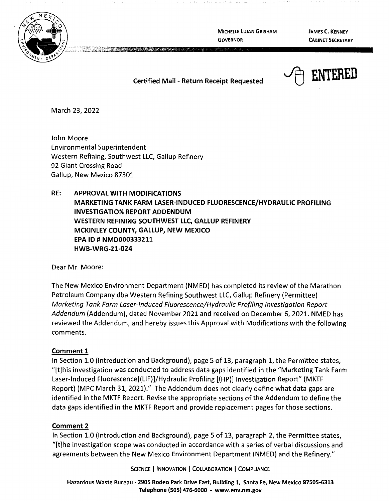

**MICHELLE LUJAN GRISHAM GOVERNOR** 

**JAMES C. KENNEY CABINET SECRETARY** 

## **Certified Mail** - **Return Receipt Requested**



March 23, 2022

John Moore Environmental Superintendent Western Refining, Southwest LLC, Gallup Refinery 92 Giant Crossing Road Gallup, New Mexico 87301

# **RE: APPROVAL WITH MODIFICATIONS MARKETING TANK FARM LASER-INDUCED FLUORESCENCE/HYDRAULIC PROFILING INVESTIGATION REPORT ADDENDUM WESTERN REFINING SOUTHWEST LLC, GALLUP REFINERY MCKINLEY COUNTY, GALLUP, NEW MEXICO EPA ID# NMD000333211 HWB-WRG-21-024**

Dear Mr. Moore:

The New Mexico Environment Department (NMED} has completed its review of the Marathon Petroleum Company dba Western Refining Southwest LLC, Gallup Refinery (Permittee) Marketing Tank Farm Laser-Induced Fluorescence/Hydraulic Profiling Investigation Report Addendum (Addendum), dated November 2021 and received on December 6, 2021. NMED has reviewed the Addendum, and hereby issues this Approval with Modifications with the following comments.

#### **Comment 1**

In Section 1.0 (Introduction and Background}, page 5 of 13, paragraph 1, the Permittee states, "[t]his investigation was conducted to address data gaps identified in the "Marketing Tank Farm Laser-Induced Fluorescence[(LIF}]/Hydraulic Profiling [(HP}] Investigation Report" (MKTF Report) (MPC March 31, 2021)." The Addendum does not clearly define what data gaps are identified in the MKTF Report. Revise the appropriate sections of the Addendum to define the data gaps identified in the MKTF Report and provide replacement pages for those sections.

#### **Comment 2**

In Section 1.0 (Introduction and Background), page 5 of 13, paragraph 2, the Permittee states, "[t]he investigation scope was conducted in accordance with a series of verbal discussions and agreements between the New Mexico Environment Department (NMED) and the Refinery."

SCIENCE | INNOVATION | COLLABORATION | COMPLIANCE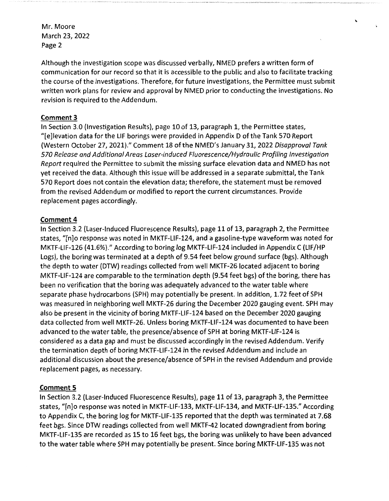Mr. Moore March 23, 2022 Page 2

Although the investigation scope was discussed verbally, NMED prefers a written form of communication for our record so that it is accessible to the public and also to facilitate tracking the course of the investigations. Therefore, for future investigations, the Permittee must submit written work plans for review and approval by NMED prior to conducting the investigations. No revision is required to the Addendum.

## **Comment 3**

In Section 3.0 (Investigation Results), page 10 of 13, paragraph 1, the Permittee states, "[e]levation data for the LIF borings were provided in Appendix D of the Tank 570 Report (Western October 27, 2021)." Comment 18 of the NMED's January 31, 2022 Disapproval Tank 570 Release and Additional Areas Laser-induced Fluorescence/Hydraulic Profiling Investigation Report required the Permittee to submit the missing surface elevation data and NMED has not yet received the data. Although this issue will be addressed in a separate submittal, the Tank 570 Report does not contain the elevation data; therefore, the statement must be removed from the revised Addendum or modified to report the current circumstances. Provide replacement pages accordingly.

## **Comment 4**

In Section 3.2 (Laser-Induced Fluorescence Results), page 11 of 13, paragraph 2, the Permittee states, "[n]o response was noted in MKTF-LIF-124, and a gasoline-type waveform was noted for MKTF-LIF-126 (41.6%)." According to boring log MKTF-LIF-124 included in Appendix C {LIF/HP Logs), the boring was terminated at a depth of 9.54 feet below ground surface (bgs). Although the depth to water (DTW) readings collected from well MKTF-26 located adjacent to boring MKTF-LIF-124 are comparable to the termination depth {9.54 feet bgs) of the boring, there has been no verification that the boring was adequately advanced to the water table where separate phase hydrocarbons (SPH) may potentially be present. In addition, 1.72 feet of SPH was measured in neighboring well MKTF-26 during the December 2020 gauging event. SPH may also be present in the vicinity of boring MKTF-LIF-124 based on the December 2020 gauging data collected from well MKTF-26. Unless boring MKTF-LIF-124 was documented to have been advanced to the water table, the presence/absence of SPH at boring MKTF-LIF-124 is considered as a data gap and must be discussed accordingly in the revised Addendum. Verify the termination depth of boring MKTF-LIF-124 in the revised Addendum and include an additional discussion about the presence/absence of SPH in the revised Addendum and provide replacement pages, as necessary.

## **Comment 5**

In Section 3.2 (Laser-Induced Fluorescence Results), page 11 of 13, paragraph 3, the Permittee states, "[n]o response was noted in MKTF-LIF-133, MKTF-LIF-134, and MKTF-LIF-135." According to Appendix C, the boring log for MKTF-LIF-135 reported that the depth was terminated at 7.68 feet bgs. Since DTW readings collected from well MKTF-42 located downgradient from boring MKTF-LIF-135 are recorded as 15 to 16 feet bgs, the boring was unlikely to have been advanced to the water table where SPH may potentially be present. Since boring MKTF-LIF-135 was not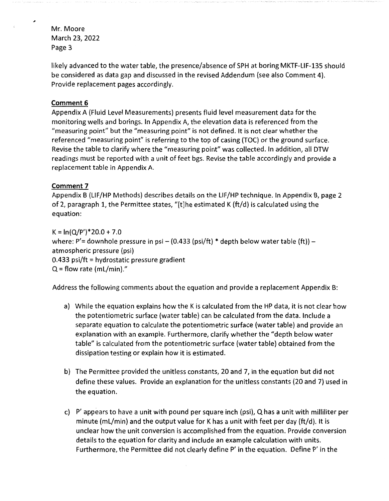Mr. Moore March 23, 2022 Page 3

,

likely advanced to the water table, the presence/absence of SPH at boring MKTF-LIF-135 should be considered as data gap and discussed in the revised Addendum (see also Comment 4). Provide replacement pages accordingly.

## **Comment 6**

Appendix A (Fluid Level Measurements) presents fluid level measurement data for the monitoring wells and borings. In Appendix A, the elevation data is referenced from the "measuring point" but the "measuring point" is not defined. It is not clear whether the referenced "measuring point" is referring to the top of casing (TOC) or the ground surface. Revise the table to clarify where the "measuring point" was collected. In addition, all DTW readings must be reported with a unit of feet bgs. Revise the table accordingly and provide a replacement table in Appendix A.

#### **Comment 7**

Appendix B (LIF/HP Methods) describes details on the LIF/HP technique. In Appendix B, page 2 of 2, paragraph 1, the Permittee states, "[t]he estimated K (ft/d) is calculated using the equation:

 $K = \ln(Q/P')$  \* 20.0 + 7.0 where: P'= downhole pressure in psi - (0.433 (psi/ft) \* depth below water table (ft)) atmospheric pressure (psi) 0.433 psi/ft = hydrostatic pressure gradient  $Q =$  flow rate (mL/min)."

Address the following comments about the equation and provide a replacement Appendix B:

- a) While the equation explains how the K is calculated from the HP data, it is not clear how the potentiometric surface (water table) can be calculated from the data. Include a separate equation to calculate the potentiometric surface (water table) and provide an explanation with an example. Furthermore, clarify whether the "depth below water table" is calculated from the potentiometric surface (water table) obtained from the dissipation testing or explain how it is estimated.
- b) The Permittee provided the unitless constants, 20 and 7, in the equation but did not define these values. Provide an explanation for the unitless constants (20 and 7) used in the equation.
- c) P' appears to have a unit with pound per square inch (psi), Q has a unit with milliliter per minute (ml/min) and the output value for K has a unit with feet per day (ft/d). It is unclear how the unit conversion is accomplished from the equation. Provide conversion details to the equation for clarity and include an example calculation with units. Furthermore, the Permittee did not clearly define P' in the equation. Define P' in the